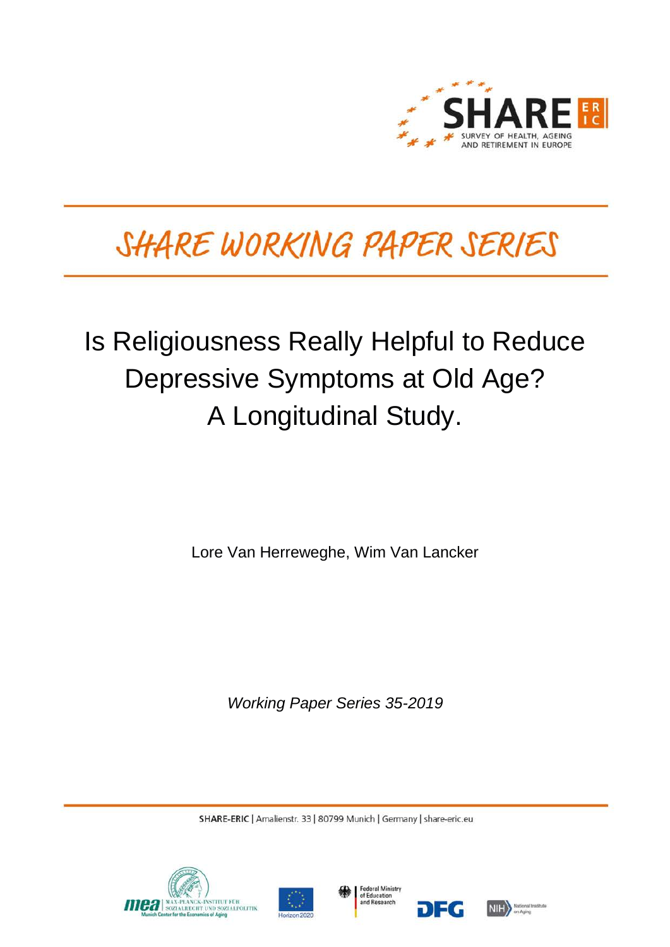

# SHARE WORKING PAPER SERIES

# Is Religiousness Really Helpful to Reduce Depressive Symptoms at Old Age? A Longitudinal Study.

Lore Van Herreweghe, Wim Van Lancker

*Working Paper Series 35-2019*

SHARE-ERIC | Amalienstr. 33 | 80799 Munich | Germany | share-eric.eu







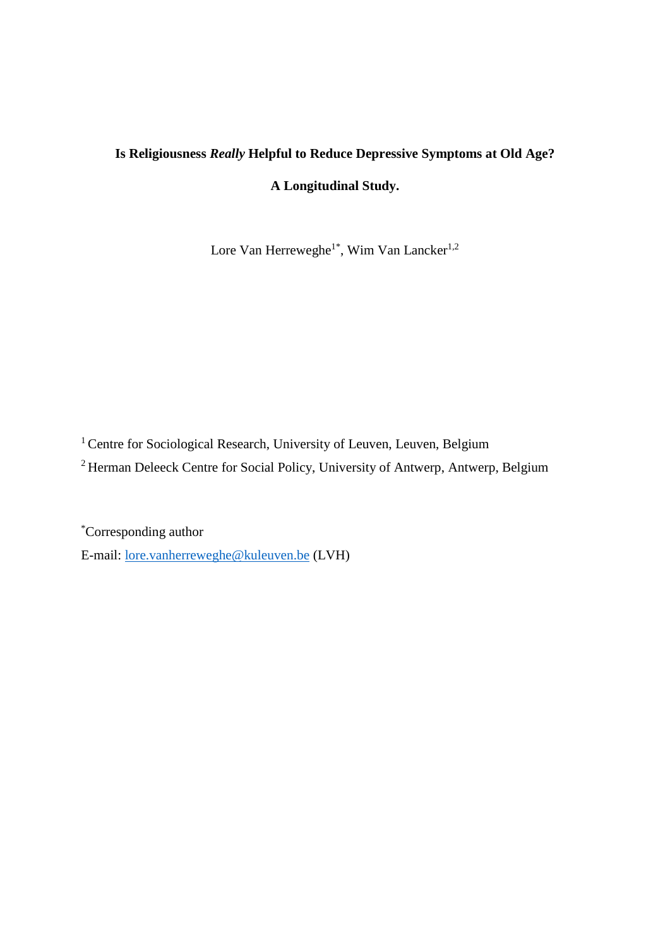# **Is Religiousness** *Really* **Helpful to Reduce Depressive Symptoms at Old Age?**

## **A Longitudinal Study.**

Lore Van Herreweghe<sup>1\*</sup>, Wim Van Lancker<sup>1,2</sup>

<sup>1</sup> Centre for Sociological Research, University of Leuven, Leuven, Belgium

<sup>2</sup> Herman Deleeck Centre for Social Policy, University of Antwerp, Antwerp, Belgium

\*Corresponding author E-mail: [lore.vanherreweghe@kuleuven.be](mailto:lore.vanherreweghe@kuleuven.be) (LVH)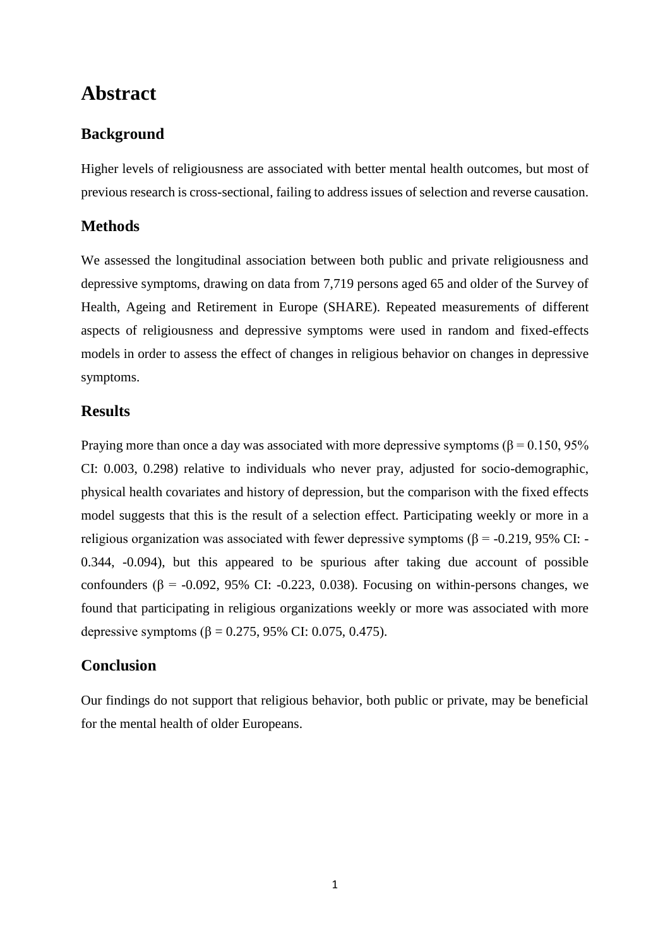# **Abstract**

### **Background**

Higher levels of religiousness are associated with better mental health outcomes, but most of previous research is cross-sectional, failing to address issues of selection and reverse causation.

### **Methods**

We assessed the longitudinal association between both public and private religiousness and depressive symptoms, drawing on data from 7,719 persons aged 65 and older of the Survey of Health, Ageing and Retirement in Europe (SHARE). Repeated measurements of different aspects of religiousness and depressive symptoms were used in random and fixed-effects models in order to assess the effect of changes in religious behavior on changes in depressive symptoms.

#### **Results**

Praying more than once a day was associated with more depressive symptoms ( $\beta$  = 0.150, 95%) CI: 0.003, 0.298) relative to individuals who never pray, adjusted for socio-demographic, physical health covariates and history of depression, but the comparison with the fixed effects model suggests that this is the result of a selection effect. Participating weekly or more in a religious organization was associated with fewer depressive symptoms ( $β = -0.219$ , 95% CI: -0.344, -0.094), but this appeared to be spurious after taking due account of possible confounders ( $\beta$  = -0.092, 95% CI: -0.223, 0.038). Focusing on within-persons changes, we found that participating in religious organizations weekly or more was associated with more depressive symptoms ( $β = 0.275, 95%$  CI: 0.075, 0.475).

### **Conclusion**

Our findings do not support that religious behavior, both public or private, may be beneficial for the mental health of older Europeans.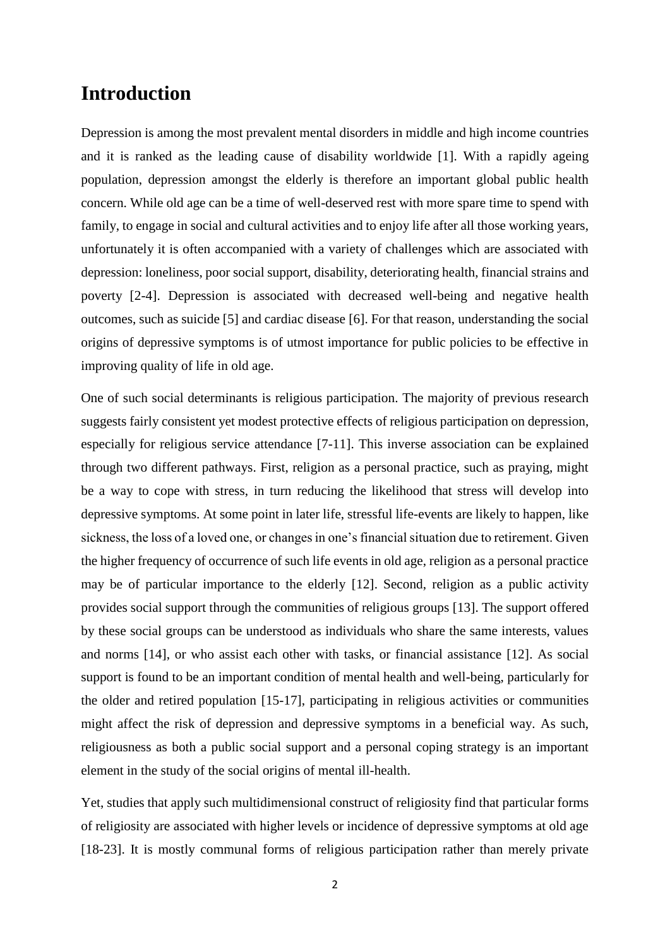## **Introduction**

Depression is among the most prevalent mental disorders in middle and high income countries and it is ranked as the leading cause of disability worldwide [1]. With a rapidly ageing population, depression amongst the elderly is therefore an important global public health concern. While old age can be a time of well-deserved rest with more spare time to spend with family, to engage in social and cultural activities and to enjoy life after all those working years, unfortunately it is often accompanied with a variety of challenges which are associated with depression: loneliness, poor social support, disability, deteriorating health, financial strains and poverty [2-4]. Depression is associated with decreased well-being and negative health outcomes, such as suicide [5] and cardiac disease [6]. For that reason, understanding the social origins of depressive symptoms is of utmost importance for public policies to be effective in improving quality of life in old age.

One of such social determinants is religious participation. The majority of previous research suggests fairly consistent yet modest protective effects of religious participation on depression, especially for religious service attendance [7-11]. This inverse association can be explained through two different pathways. First, religion as a personal practice, such as praying, might be a way to cope with stress, in turn reducing the likelihood that stress will develop into depressive symptoms. At some point in later life, stressful life-events are likely to happen, like sickness, the loss of a loved one, or changes in one's financial situation due to retirement. Given the higher frequency of occurrence of such life events in old age, religion as a personal practice may be of particular importance to the elderly [12]. Second, religion as a public activity provides social support through the communities of religious groups [13]. The support offered by these social groups can be understood as individuals who share the same interests, values and norms [14], or who assist each other with tasks, or financial assistance [12]. As social support is found to be an important condition of mental health and well-being, particularly for the older and retired population [15-17], participating in religious activities or communities might affect the risk of depression and depressive symptoms in a beneficial way. As such, religiousness as both a public social support and a personal coping strategy is an important element in the study of the social origins of mental ill-health.

Yet, studies that apply such multidimensional construct of religiosity find that particular forms of religiosity are associated with higher levels or incidence of depressive symptoms at old age [18-23]. It is mostly communal forms of religious participation rather than merely private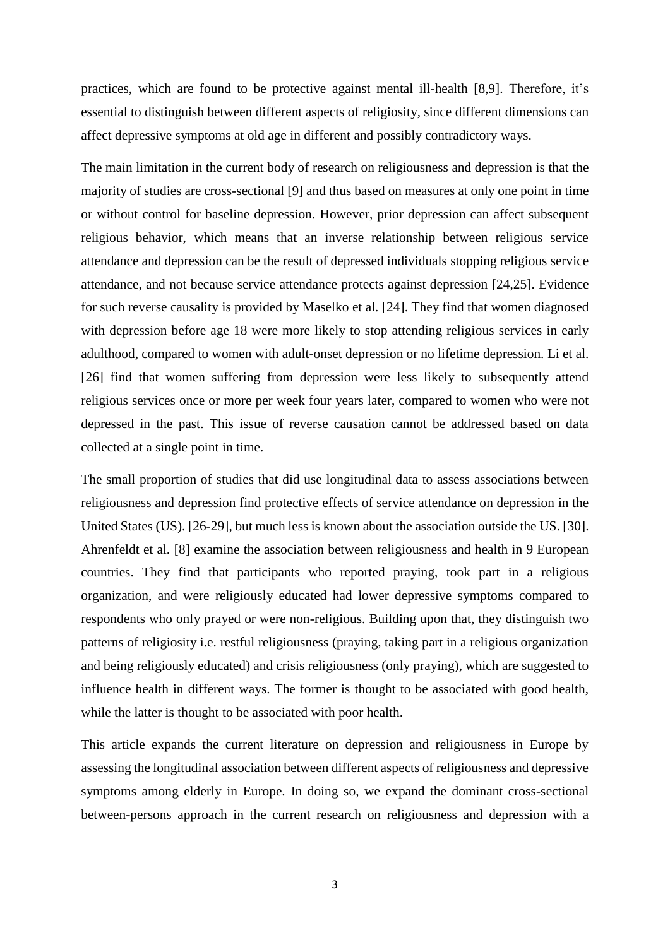practices, which are found to be protective against mental ill-health [8,9]. Therefore, it's essential to distinguish between different aspects of religiosity, since different dimensions can affect depressive symptoms at old age in different and possibly contradictory ways.

The main limitation in the current body of research on religiousness and depression is that the majority of studies are cross-sectional [9] and thus based on measures at only one point in time or without control for baseline depression. However, prior depression can affect subsequent religious behavior, which means that an inverse relationship between religious service attendance and depression can be the result of depressed individuals stopping religious service attendance, and not because service attendance protects against depression [24,25]. Evidence for such reverse causality is provided by Maselko et al. [24]. They find that women diagnosed with depression before age 18 were more likely to stop attending religious services in early adulthood, compared to women with adult-onset depression or no lifetime depression. Li et al. [26] find that women suffering from depression were less likely to subsequently attend religious services once or more per week four years later, compared to women who were not depressed in the past. This issue of reverse causation cannot be addressed based on data collected at a single point in time.

The small proportion of studies that did use longitudinal data to assess associations between religiousness and depression find protective effects of service attendance on depression in the United States (US). [26-29], but much less is known about the association outside the US. [30]. Ahrenfeldt et al. [8] examine the association between religiousness and health in 9 European countries. They find that participants who reported praying, took part in a religious organization, and were religiously educated had lower depressive symptoms compared to respondents who only prayed or were non-religious. Building upon that, they distinguish two patterns of religiosity i.e. restful religiousness (praying, taking part in a religious organization and being religiously educated) and crisis religiousness (only praying), which are suggested to influence health in different ways. The former is thought to be associated with good health, while the latter is thought to be associated with poor health.

This article expands the current literature on depression and religiousness in Europe by assessing the longitudinal association between different aspects of religiousness and depressive symptoms among elderly in Europe. In doing so, we expand the dominant cross-sectional between-persons approach in the current research on religiousness and depression with a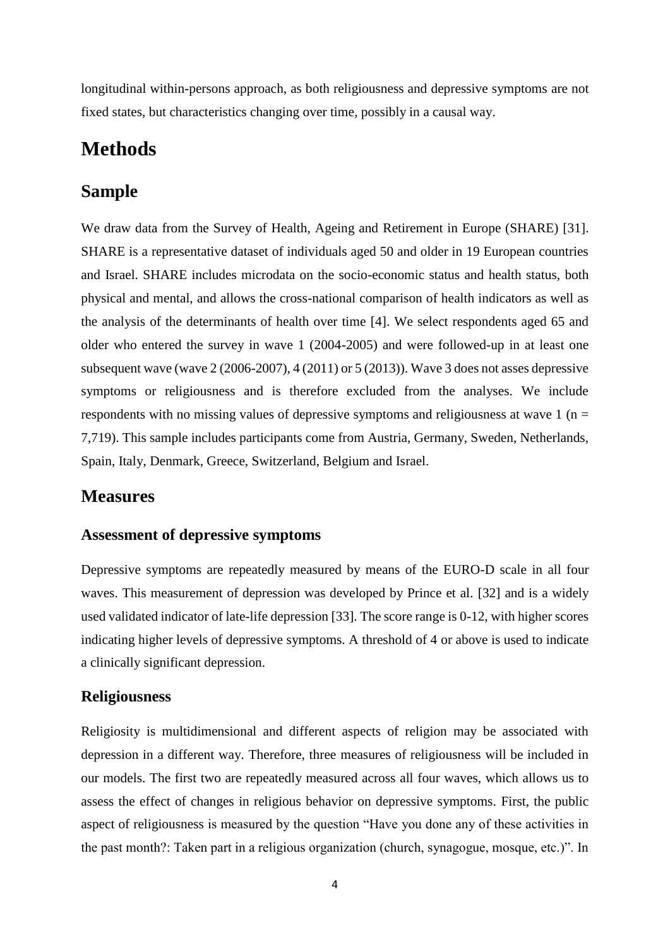longitudinal within-persons approach, as both religiousness and depressive symptoms are not fixed states, but characteristics changing over time, possibly in a causal way.

# **Methods**

## **Sample**

We draw data from the Survey of Health, Ageing and Retirement in Europe (SHARE) [31]. SHARE is a representative dataset of individuals aged 50 and older in 19 European countries and Israel. SHARE includes microdata on the socio-economic status and health status, both physical and mental, and allows the cross-national comparison of health indicators as well as the analysis of the determinants of health over time [4]. We select respondents aged 65 and older who entered the survey in wave 1 (2004-2005) and were followed-up in at least one subsequent wave (wave 2 (2006-2007), 4 (2011) or 5 (2013)). Wave 3 does not asses depressive symptoms or religiousness and is therefore excluded from the analyses. We include respondents with no missing values of depressive symptoms and religiousness at wave  $1$  (n = 7,719). This sample includes participants come from Austria, Germany, Sweden, Netherlands, Spain, Italy, Denmark, Greece, Switzerland, Belgium and Israel.

## **Measures**

#### **Assessment of depressive symptoms**

Depressive symptoms are repeatedly measured by means of the EURO-D scale in all four waves. This measurement of depression was developed by Prince et al. [32] and is a widely used validated indicator of late-life depression [33]. The score range is 0-12, with higher scores indicating higher levels of depressive symptoms. A threshold of 4 or above is used to indicate a clinically significant depression.

#### **Religiousness**

Religiosity is multidimensional and different aspects of religion may be associated with depression in a different way. Therefore, three measures of religiousness will be included in our models. The first two are repeatedly measured across all four waves, which allows us to assess the effect of changes in religious behavior on depressive symptoms. First, the public aspect of religiousness is measured by the question "Have you done any of these activities in the past month?: Taken part in a religious organization (church, synagogue, mosque, etc.)". In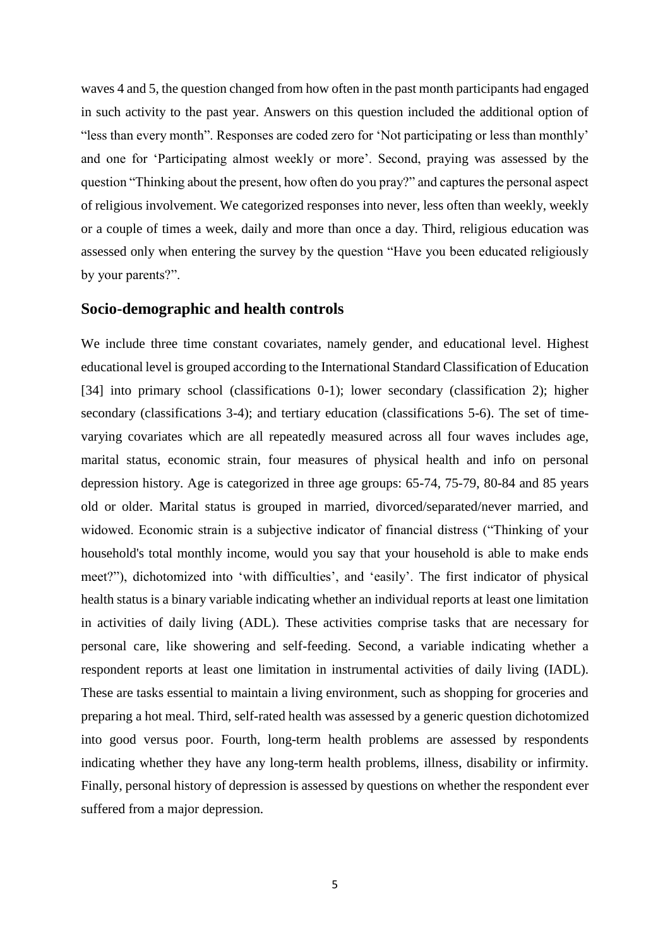waves 4 and 5, the question changed from how often in the past month participants had engaged in such activity to the past year. Answers on this question included the additional option of "less than every month". Responses are coded zero for 'Not participating or less than monthly' and one for 'Participating almost weekly or more'. Second, praying was assessed by the question "Thinking about the present, how often do you pray?" and captures the personal aspect of religious involvement. We categorized responses into never, less often than weekly, weekly or a couple of times a week, daily and more than once a day. Third, religious education was assessed only when entering the survey by the question "Have you been educated religiously by your parents?".

#### **Socio-demographic and health controls**

We include three time constant covariates, namely gender, and educational level. Highest educational level is grouped according to the International Standard Classification of Education [34] into primary school (classifications 0-1); lower secondary (classification 2); higher secondary (classifications 3-4); and tertiary education (classifications 5-6). The set of timevarying covariates which are all repeatedly measured across all four waves includes age, marital status, economic strain, four measures of physical health and info on personal depression history. Age is categorized in three age groups: 65-74, 75-79, 80-84 and 85 years old or older. Marital status is grouped in married, divorced/separated/never married, and widowed. Economic strain is a subjective indicator of financial distress ("Thinking of your household's total monthly income, would you say that your household is able to make ends meet?"), dichotomized into 'with difficulties', and 'easily'. The first indicator of physical health status is a binary variable indicating whether an individual reports at least one limitation in activities of daily living (ADL). These activities comprise tasks that are necessary for personal care, like showering and self-feeding. Second, a variable indicating whether a respondent reports at least one limitation in instrumental activities of daily living (IADL). These are tasks essential to maintain a living environment, such as shopping for groceries and preparing a hot meal. Third, self-rated health was assessed by a generic question dichotomized into good versus poor. Fourth, long-term health problems are assessed by respondents indicating whether they have any long-term health problems, illness, disability or infirmity. Finally, personal history of depression is assessed by questions on whether the respondent ever suffered from a major depression.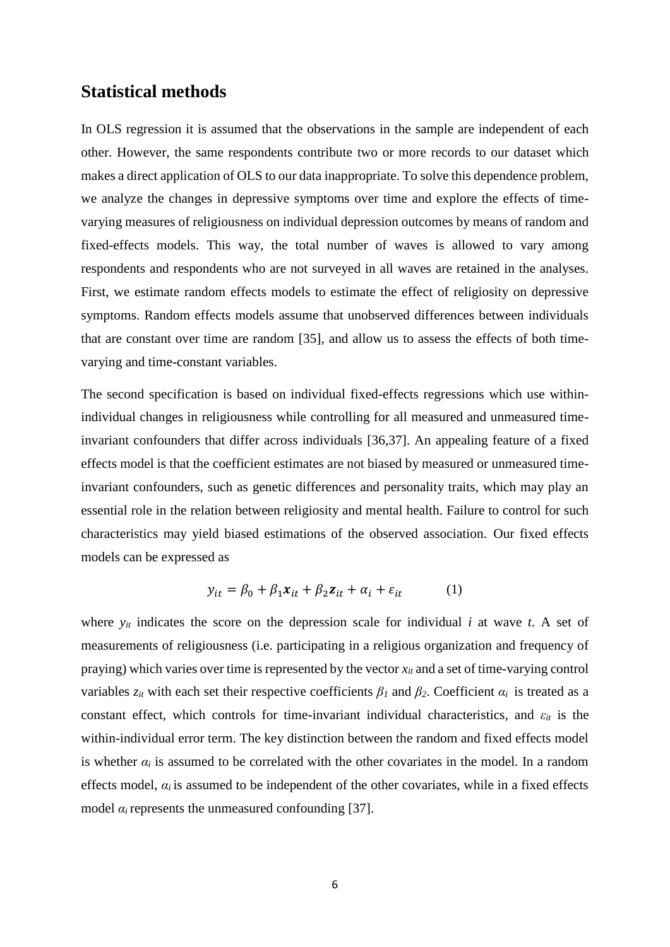#### **Statistical methods**

In OLS regression it is assumed that the observations in the sample are independent of each other. However, the same respondents contribute two or more records to our dataset which makes a direct application of OLS to our data inappropriate. To solve this dependence problem, we analyze the changes in depressive symptoms over time and explore the effects of timevarying measures of religiousness on individual depression outcomes by means of random and fixed-effects models. This way, the total number of waves is allowed to vary among respondents and respondents who are not surveyed in all waves are retained in the analyses. First, we estimate random effects models to estimate the effect of religiosity on depressive symptoms. Random effects models assume that unobserved differences between individuals that are constant over time are random [35], and allow us to assess the effects of both timevarying and time-constant variables.

The second specification is based on individual fixed-effects regressions which use withinindividual changes in religiousness while controlling for all measured and unmeasured timeinvariant confounders that differ across individuals [36,37]. An appealing feature of a fixed effects model is that the coefficient estimates are not biased by measured or unmeasured timeinvariant confounders, such as genetic differences and personality traits, which may play an essential role in the relation between religiosity and mental health. Failure to control for such characteristics may yield biased estimations of the observed association. Our fixed effects models can be expressed as

$$
y_{it} = \beta_0 + \beta_1 x_{it} + \beta_2 z_{it} + \alpha_i + \varepsilon_{it}
$$
 (1)

where  $y_{it}$  indicates the score on the depression scale for individual  $i$  at wave  $t$ . A set of measurements of religiousness (i.e. participating in a religious organization and frequency of praying) which varies over time is represented by the vector *xit* and a set of time-varying control variables  $z_{it}$  with each set their respective coefficients  $\beta_l$  and  $\beta_2$ . Coefficient  $\alpha_i$  is treated as a constant effect, which controls for time-invariant individual characteristics, and *εit* is the within-individual error term. The key distinction between the random and fixed effects model is whether  $\alpha_i$  is assumed to be correlated with the other covariates in the model. In a random effects model,  $\alpha_i$  is assumed to be independent of the other covariates, while in a fixed effects model  $\alpha_i$  represents the unmeasured confounding [37].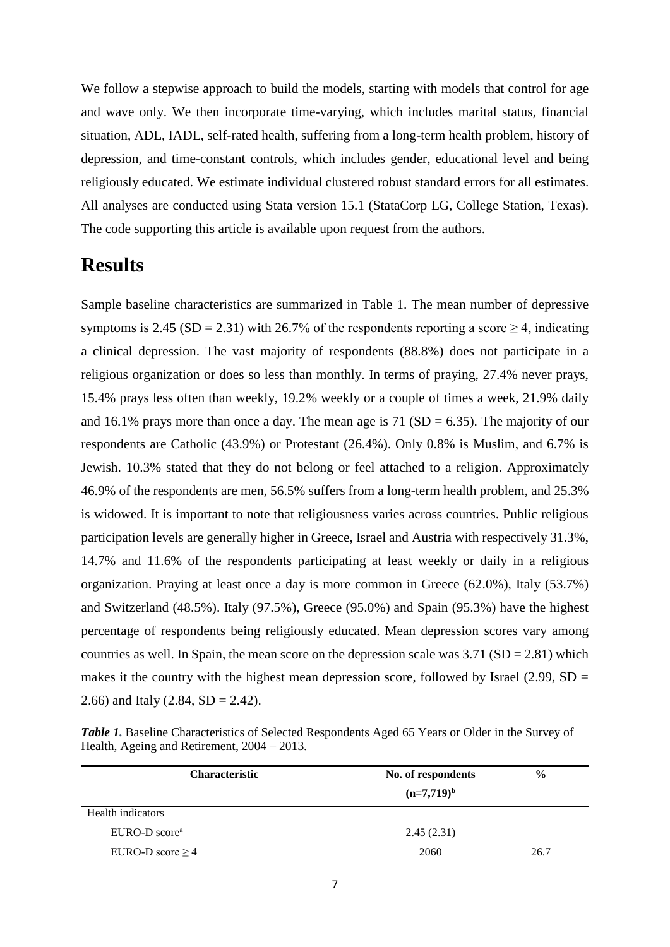We follow a stepwise approach to build the models, starting with models that control for age and wave only. We then incorporate time-varying, which includes marital status, financial situation, ADL, IADL, self-rated health, suffering from a long-term health problem, history of depression, and time-constant controls, which includes gender, educational level and being religiously educated. We estimate individual clustered robust standard errors for all estimates. All analyses are conducted using Stata version 15.1 (StataCorp LG, College Station, Texas). The code supporting this article is available upon request from the authors.

# **Results**

Sample baseline characteristics are summarized in Table 1. The mean number of depressive symptoms is 2.45 (SD = 2.31) with 26.7% of the respondents reporting a score  $\geq$  4, indicating a clinical depression. The vast majority of respondents (88.8%) does not participate in a religious organization or does so less than monthly. In terms of praying, 27.4% never prays, 15.4% prays less often than weekly, 19.2% weekly or a couple of times a week, 21.9% daily and 16.1% prays more than once a day. The mean age is 71 ( $SD = 6.35$ ). The majority of our respondents are Catholic (43.9%) or Protestant (26.4%). Only 0.8% is Muslim, and 6.7% is Jewish. 10.3% stated that they do not belong or feel attached to a religion. Approximately 46.9% of the respondents are men, 56.5% suffers from a long-term health problem, and 25.3% is widowed. It is important to note that religiousness varies across countries. Public religious participation levels are generally higher in Greece, Israel and Austria with respectively 31.3%, 14.7% and 11.6% of the respondents participating at least weekly or daily in a religious organization. Praying at least once a day is more common in Greece (62.0%), Italy (53.7%) and Switzerland (48.5%). Italy (97.5%), Greece (95.0%) and Spain (95.3%) have the highest percentage of respondents being religiously educated. Mean depression scores vary among countries as well. In Spain, the mean score on the depression scale was  $3.71$  (SD = 2.81) which makes it the country with the highest mean depression score, followed by Israel  $(2.99, SD =$ 2.66) and Italy (2.84,  $SD = 2.42$ ).

*Table 1.* Baseline Characteristics of Selected Respondents Aged 65 Years or Older in the Survey of Health, Ageing and Retirement, 2004 – 2013.

| <b>Characteristic</b> | No. of respondents | $\frac{6}{9}$ |
|-----------------------|--------------------|---------------|
|                       | $(n=7,719)^{b}$    |               |
| Health indicators     |                    |               |
| $EURO-D scorea$       | 2.45(2.31)         |               |
| EURO-D score $\geq 4$ | 2060               | 26.7          |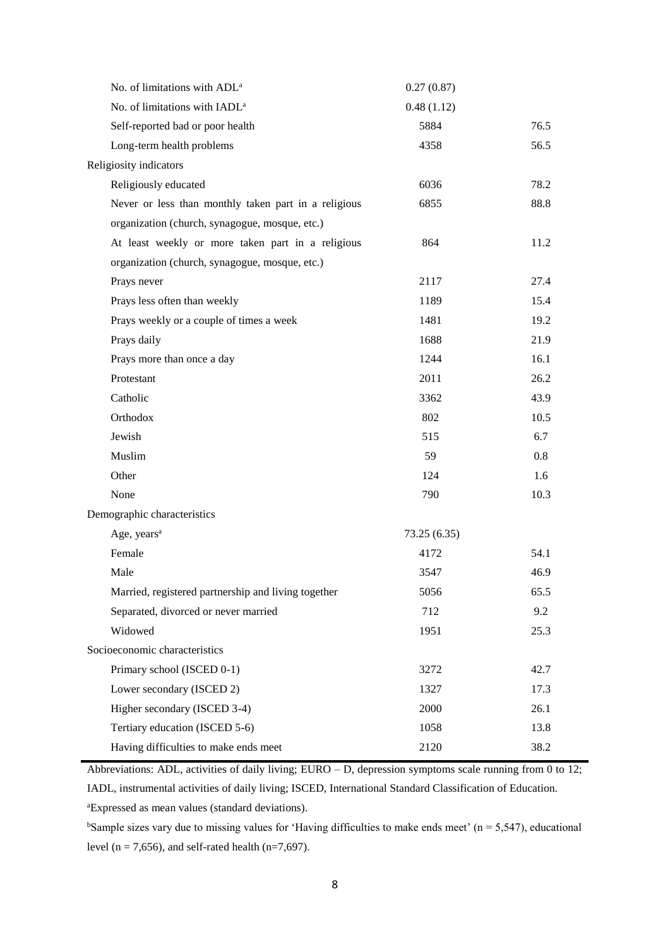| No. of limitations with ADL <sup>a</sup>             | 0.27(0.87)  |      |
|------------------------------------------------------|-------------|------|
| No. of limitations with IADL <sup>a</sup>            | 0.48(1.12)  |      |
| Self-reported bad or poor health                     | 5884        | 76.5 |
| Long-term health problems                            | 4358        | 56.5 |
| Religiosity indicators                               |             |      |
| Religiously educated                                 | 6036        | 78.2 |
| Never or less than monthly taken part in a religious | 6855        | 88.8 |
| organization (church, synagogue, mosque, etc.)       |             |      |
| At least weekly or more taken part in a religious    | 864         | 11.2 |
| organization (church, synagogue, mosque, etc.)       |             |      |
| Prays never                                          | 2117        | 27.4 |
| Prays less often than weekly                         | 1189        | 15.4 |
| Prays weekly or a couple of times a week             | 1481        | 19.2 |
| Prays daily                                          | 1688        | 21.9 |
| Prays more than once a day                           | 1244        | 16.1 |
| Protestant                                           | 2011        | 26.2 |
| Catholic                                             | 3362        | 43.9 |
| Orthodox                                             | 802         | 10.5 |
| Jewish                                               | 515         | 6.7  |
| Muslim                                               | 59          | 0.8  |
| Other                                                | 124         | 1.6  |
| None                                                 | 790         | 10.3 |
| Demographic characteristics                          |             |      |
| Age, years <sup>a</sup>                              | 73.25(6.35) |      |
| Female                                               | 4172        | 54.1 |
| Male                                                 | 3547        | 46.9 |
| Married, registered partnership and living together  | 5056        | 65.5 |
| Separated, divorced or never married                 | 712         | 9.2  |
| Widowed                                              | 1951        | 25.3 |
| Socioeconomic characteristics                        |             |      |
| Primary school (ISCED 0-1)                           | 3272        | 42.7 |
| Lower secondary (ISCED 2)                            | 1327        | 17.3 |
| Higher secondary (ISCED 3-4)                         | 2000        | 26.1 |
| Tertiary education (ISCED 5-6)                       | 1058        | 13.8 |
| Having difficulties to make ends meet                | 2120        | 38.2 |

Abbreviations: ADL, activities of daily living; EURO – D, depression symptoms scale running from 0 to 12; IADL, instrumental activities of daily living; ISCED, International Standard Classification of Education.

<sup>a</sup>Expressed as mean values (standard deviations).

<sup>b</sup>Sample sizes vary due to missing values for 'Having difficulties to make ends meet' ( $n = 5,547$ ), educational level ( $n = 7,656$ ), and self-rated health ( $n = 7,697$ ).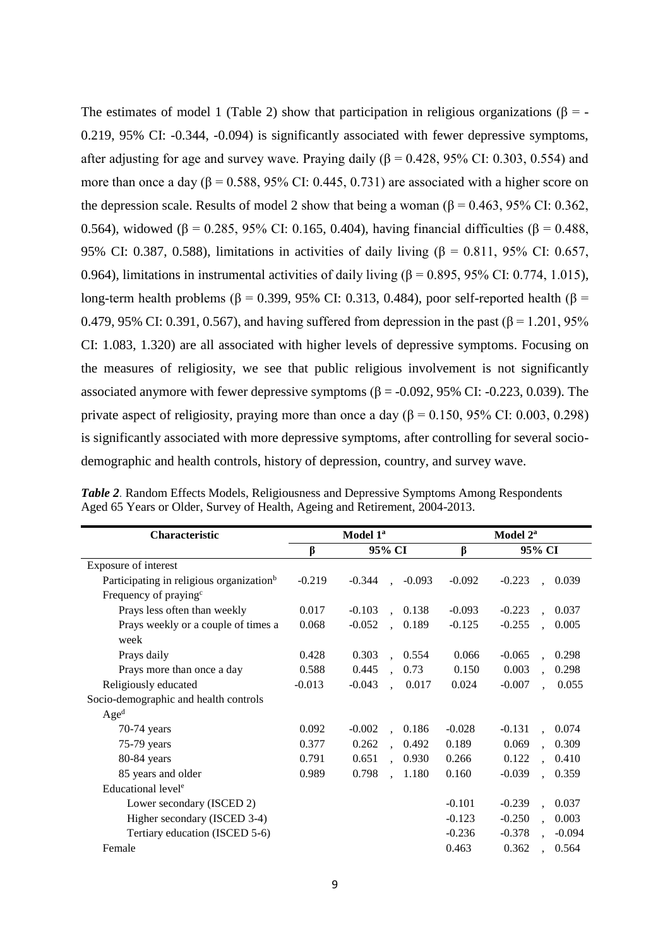The estimates of model 1 (Table 2) show that participation in religious organizations ( $\beta$  = -0.219, 95% CI: -0.344, -0.094) is significantly associated with fewer depressive symptoms, after adjusting for age and survey wave. Praying daily ( $\beta$  = 0.428, 95% CI: 0.303, 0.554) and more than once a day ( $\beta$  = 0.588, 95% CI: 0.445, 0.731) are associated with a higher score on the depression scale. Results of model 2 show that being a woman  $(6 = 0.463, 95\% \text{ CI}$ : 0.362, 0.564), widowed (β = 0.285, 95% CI: 0.165, 0.404), having financial difficulties (β = 0.488, 95% CI: 0.387, 0.588), limitations in activities of daily living (β = 0.811, 95% CI: 0.657, 0.964), limitations in instrumental activities of daily living ( $\beta$  = 0.895, 95% CI: 0.774, 1.015), long-term health problems (β = 0.399, 95% CI: 0.313, 0.484), poor self-reported health (β = 0.479, 95% CI: 0.391, 0.567), and having suffered from depression in the past (β = 1.201, 95% CI: 1.083, 1.320) are all associated with higher levels of depressive symptoms. Focusing on the measures of religiosity, we see that public religious involvement is not significantly associated anymore with fewer depressive symptoms ( $\beta$  = -0.092, 95% CI: -0.223, 0.039). The private aspect of religiosity, praying more than once a day ( $\beta$  = 0.150, 95% CI: 0.003, 0.298) is significantly associated with more depressive symptoms, after controlling for several sociodemographic and health controls, history of depression, country, and survey wave.

| <b>Characteristic</b>                                |          | Model 1 <sup>a</sup>                      | Model 2 <sup>a</sup> |                                           |  |
|------------------------------------------------------|----------|-------------------------------------------|----------------------|-------------------------------------------|--|
|                                                      | β        | 95% CI                                    | $\beta$              | 95% CI                                    |  |
| Exposure of interest                                 |          |                                           |                      |                                           |  |
| Participating in religious organization <sup>b</sup> | $-0.219$ | $-0.344$<br>$-0.093$                      | $-0.092$             | $-0.223$<br>0.039                         |  |
| Frequency of praying <sup>c</sup>                    |          |                                           |                      |                                           |  |
| Prays less often than weekly                         | 0.017    | $-0.103$<br>0.138                         | $-0.093$             | $-0.223$<br>0.037                         |  |
| Prays weekly or a couple of times a                  | 0.068    | $-0.052$<br>0.189<br>$\ddot{\phantom{a}}$ | $-0.125$             | $-0.255$<br>0.005                         |  |
| week                                                 |          |                                           |                      |                                           |  |
| Prays daily                                          | 0.428    | 0.303<br>, 0.554                          | 0.066                | $-0.065$<br>0.298                         |  |
| Prays more than once a day                           | 0.588    | 0.445<br>0.73                             | 0.150                | 0.003<br>0.298                            |  |
| Religiously educated                                 | $-0.013$ | $-0.043$<br>0.017<br>$\mathbf{r}$         | 0.024                | $-0.007$<br>0.055                         |  |
| Socio-demographic and health controls                |          |                                           |                      |                                           |  |
| Age <sup>d</sup>                                     |          |                                           |                      |                                           |  |
| 70-74 years                                          | 0.092    | $-0.002$<br>0.186<br>$\mathbf{A}$         | $-0.028$             | $-0.131$<br>0.074<br>$\mathbf{r}$         |  |
| 75-79 years                                          | 0.377    | 0.262<br>0.492<br>$\ddot{\phantom{a}}$    | 0.189                | 0.069<br>0.309<br>$\ddot{\phantom{a}}$    |  |
| 80-84 years                                          | 0.791    | 0.651<br>0.930<br>$\mathbf{r}$            | 0.266                | 0.122<br>0.410<br>$\mathbf{r}$            |  |
| 85 years and older                                   | 0.989    | 0.798<br>1.180<br>$\mathbf{r}$            | 0.160                | $-0.039$<br>0.359<br>$\ddot{\phantom{a}}$ |  |
| Educational level <sup>e</sup>                       |          |                                           |                      |                                           |  |
| Lower secondary (ISCED 2)                            |          |                                           | $-0.101$             | $-0.239$<br>0.037<br>$\ddot{\phantom{a}}$ |  |
| Higher secondary (ISCED 3-4)                         |          |                                           | $-0.123$             | $-0.250$<br>0.003<br>$\mathbf{r}$         |  |
| Tertiary education (ISCED 5-6)                       |          |                                           | $-0.236$             | $-0.378$<br>$-0.094$                      |  |
| Female                                               |          |                                           | 0.463                | 0.362<br>0.564<br>$\ddot{\phantom{a}}$    |  |

|  |                                                                             | Table 2. Random Effects Models, Religiousness and Depressive Symptoms Among Respondents |
|--|-----------------------------------------------------------------------------|-----------------------------------------------------------------------------------------|
|  | Aged 65 Years or Older, Survey of Health, Ageing and Retirement, 2004-2013. |                                                                                         |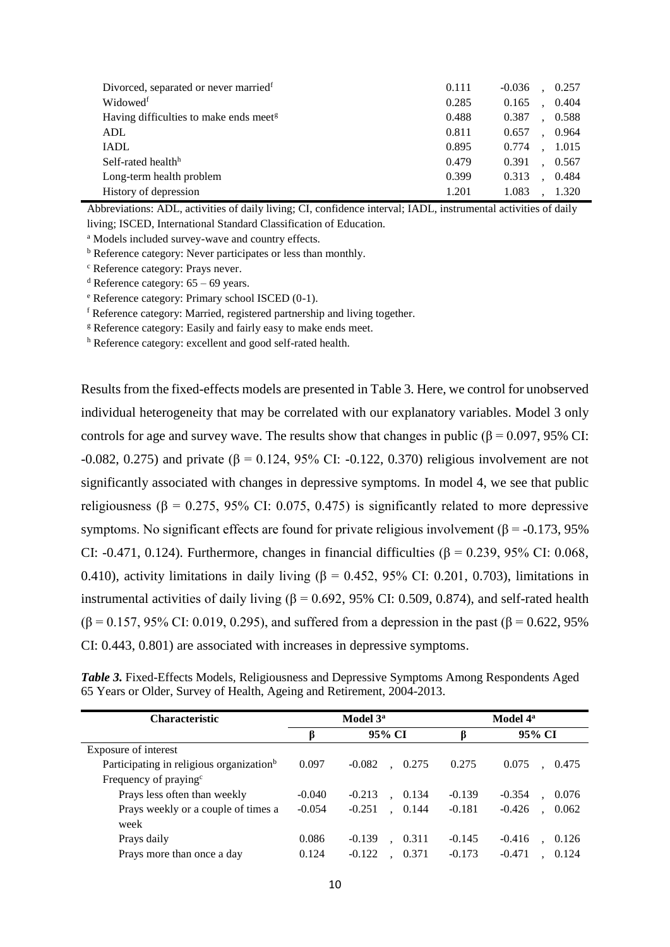| Divorced, separated or never married <sup>f</sup>  | 0.111 | $-0.036$<br>0.257 |
|----------------------------------------------------|-------|-------------------|
| Widowedf                                           | 0.285 | 0.404<br>0.165    |
| Having difficulties to make ends meet <sup>g</sup> | 0.488 | 0.387<br>0.588    |
| <b>ADL</b>                                         | 0.811 | 0.964<br>0.657    |
| <b>IADL</b>                                        | 0.895 | 0.774<br>1.015    |
| Self-rated health <sup>h</sup>                     | 0.479 | 0.391<br>0.567    |
| Long-term health problem                           | 0.399 | 0.484<br>0.313    |
| History of depression                              | 1.201 | 1.320<br>1.083    |

Abbreviations: ADL, activities of daily living; CI, confidence interval; IADL, instrumental activities of daily living; ISCED, International Standard Classification of Education.

<sup>a</sup> Models included survey-wave and country effects.

<sup>b</sup> Reference category: Never participates or less than monthly.

<sup>c</sup> Reference category: Prays never.

<sup>d</sup> Reference category:  $65 - 69$  years.

<sup>e</sup> Reference category: Primary school ISCED (0-1).

<sup>f</sup> Reference category: Married, registered partnership and living together.

<sup>g</sup> Reference category: Easily and fairly easy to make ends meet.

<sup>h</sup> Reference category: excellent and good self-rated health.

Results from the fixed-effects models are presented in Table 3. Here, we control for unobserved individual heterogeneity that may be correlated with our explanatory variables. Model 3 only controls for age and survey wave. The results show that changes in public ( $\beta$  = 0.097, 95% CI: -0.082, 0.275) and private (β = 0.124, 95% CI: -0.122, 0.370) religious involvement are not significantly associated with changes in depressive symptoms. In model 4, we see that public religiousness ( $\beta$  = 0.275, 95% CI: 0.075, 0.475) is significantly related to more depressive symptoms. No significant effects are found for private religious involvement ( $\beta$  = -0.173, 95%) CI: -0.471, 0.124). Furthermore, changes in financial difficulties ( $\beta$  = 0.239, 95% CI: 0.068, 0.410), activity limitations in daily living ( $\beta$  = 0.452, 95% CI: 0.201, 0.703), limitations in instrumental activities of daily living ( $\beta$  = 0.692, 95% CI: 0.509, 0.874), and self-rated health  $(\beta = 0.157, 95\% \text{ CI: } 0.019, 0.295)$ , and suffered from a depression in the past ( $\beta = 0.622, 95\%$ ) CI: 0.443, 0.801) are associated with increases in depressive symptoms.

|  |                                                                        | Table 3. Fixed-Effects Models, Religiousness and Depressive Symptoms Among Respondents Aged |  |
|--|------------------------------------------------------------------------|---------------------------------------------------------------------------------------------|--|
|  | 65 Years or Older, Survey of Health, Ageing and Retirement, 2004-2013. |                                                                                             |  |

| <b>Characteristic</b>                                |          | Model 3 <sup>a</sup> | Model 4 <sup>a</sup> |                   |  |  |
|------------------------------------------------------|----------|----------------------|----------------------|-------------------|--|--|
|                                                      | ß        | 95% CI               | β                    | 95% CI            |  |  |
| Exposure of interest                                 |          |                      |                      |                   |  |  |
| Participating in religious organization <sup>b</sup> | 0.097    | $-0.082$<br>0.275    | 0.275                | 0.075<br>0.475    |  |  |
| Frequency of praying <sup>c</sup>                    |          |                      |                      |                   |  |  |
| Prays less often than weekly                         | $-0.040$ | $-0.213$<br>0.134    | $-0.139$             | $-0.354$<br>0.076 |  |  |
| Prays weekly or a couple of times a                  | $-0.054$ | 0.144<br>$-0.251$    | $-0.181$             | $-0.426$<br>0.062 |  |  |
| week                                                 |          |                      |                      |                   |  |  |
| Prays daily                                          | 0.086    | $-0.139$<br>0.311    | $-0.145$             | $-0.416$<br>0.126 |  |  |
| Prays more than once a day                           | 0.124    | $-0.122$<br>0.371    | $-0.173$             | $-0.471$<br>0.124 |  |  |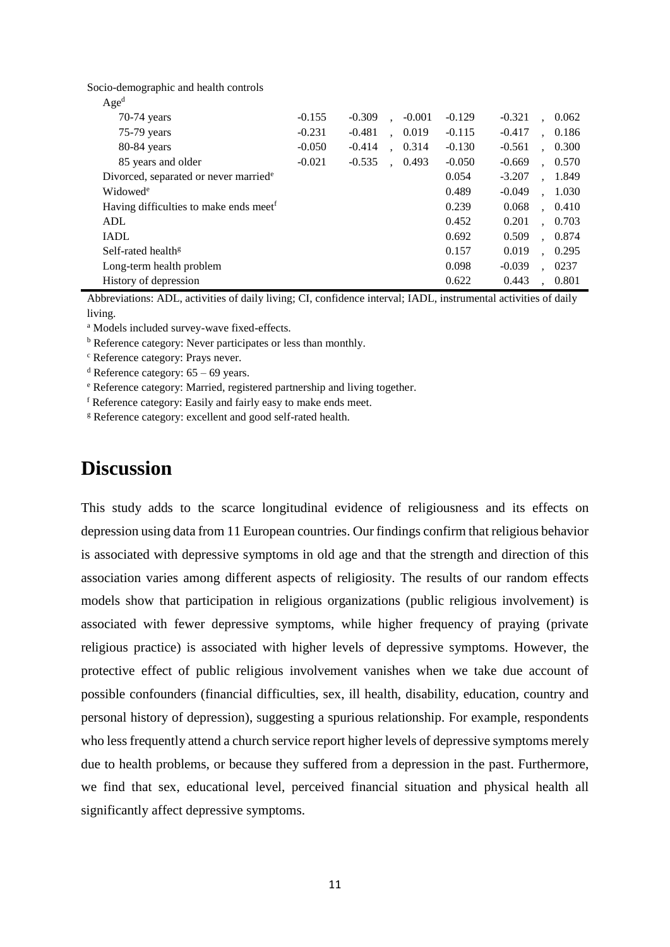Socio-demographic and health controls

| Age <sup>d</sup>                                   |          |          |                      |          |          |          |                      |       |
|----------------------------------------------------|----------|----------|----------------------|----------|----------|----------|----------------------|-------|
| 70-74 years                                        | $-0.155$ | $-0.309$ | $\ddot{\phantom{a}}$ | $-0.001$ | $-0.129$ | $-0.321$ |                      | 0.062 |
| $75-79$ years                                      | $-0.231$ | $-0.481$ | $\ddot{\phantom{a}}$ | 0.019    | $-0.115$ | $-0.417$ | $\ddot{\phantom{a}}$ | 0.186 |
| 80-84 years                                        | $-0.050$ | $-0.414$ | $\ddot{\phantom{a}}$ | 0.314    | $-0.130$ | $-0.561$ |                      | 0.300 |
| 85 years and older                                 | $-0.021$ | $-0.535$ |                      | 0.493    | $-0.050$ | $-0.669$ |                      | 0.570 |
| Divorced, separated or never married <sup>e</sup>  |          |          |                      |          | 0.054    | $-3.207$ |                      | 1.849 |
| Widowed <sup>e</sup>                               |          |          |                      |          | 0.489    | $-0.049$ |                      | 1.030 |
| Having difficulties to make ends meet <sup>f</sup> |          |          |                      |          | 0.239    | 0.068    |                      | 0.410 |
| ADL                                                |          |          |                      |          | 0.452    | 0.201    |                      | 0.703 |
| <b>IADL</b>                                        |          |          |                      |          | 0.692    | 0.509    | $\ddot{\phantom{a}}$ | 0.874 |
| Self-rated health <sup>g</sup>                     |          |          |                      |          | 0.157    | 0.019    | $\ddot{\phantom{a}}$ | 0.295 |
| Long-term health problem                           |          |          |                      |          | 0.098    | $-0.039$ |                      | 0237  |
| History of depression                              |          |          |                      |          | 0.622    | 0.443    |                      | 0.801 |

Abbreviations: ADL, activities of daily living; CI, confidence interval; IADL, instrumental activities of daily living.

<sup>a</sup> Models included survey-wave fixed-effects.

<sup>b</sup> Reference category: Never participates or less than monthly.

<sup>c</sup> Reference category: Prays never.

<sup>d</sup> Reference category:  $65 - 69$  years.

<sup>e</sup> Reference category: Married, registered partnership and living together.

<sup>f</sup> Reference category: Easily and fairly easy to make ends meet.

<sup>g</sup> Reference category: excellent and good self-rated health.

## **Discussion**

This study adds to the scarce longitudinal evidence of religiousness and its effects on depression using data from 11 European countries. Our findings confirm that religious behavior is associated with depressive symptoms in old age and that the strength and direction of this association varies among different aspects of religiosity. The results of our random effects models show that participation in religious organizations (public religious involvement) is associated with fewer depressive symptoms, while higher frequency of praying (private religious practice) is associated with higher levels of depressive symptoms. However, the protective effect of public religious involvement vanishes when we take due account of possible confounders (financial difficulties, sex, ill health, disability, education, country and personal history of depression), suggesting a spurious relationship. For example, respondents who less frequently attend a church service report higher levels of depressive symptoms merely due to health problems, or because they suffered from a depression in the past. Furthermore, we find that sex, educational level, perceived financial situation and physical health all significantly affect depressive symptoms.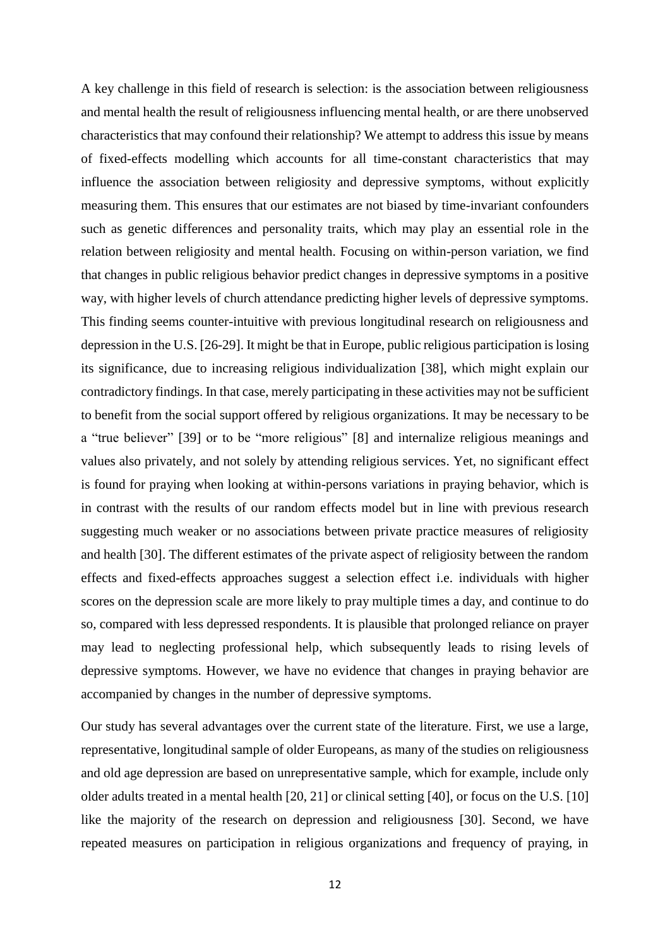A key challenge in this field of research is selection: is the association between religiousness and mental health the result of religiousness influencing mental health, or are there unobserved characteristics that may confound their relationship? We attempt to address this issue by means of fixed-effects modelling which accounts for all time-constant characteristics that may influence the association between religiosity and depressive symptoms, without explicitly measuring them. This ensures that our estimates are not biased by time-invariant confounders such as genetic differences and personality traits, which may play an essential role in the relation between religiosity and mental health. Focusing on within-person variation, we find that changes in public religious behavior predict changes in depressive symptoms in a positive way, with higher levels of church attendance predicting higher levels of depressive symptoms. This finding seems counter-intuitive with previous longitudinal research on religiousness and depression in the U.S. [26-29]. It might be that in Europe, public religious participation is losing its significance, due to increasing religious individualization [38], which might explain our contradictory findings. In that case, merely participating in these activities may not be sufficient to benefit from the social support offered by religious organizations. It may be necessary to be a "true believer" [39] or to be "more religious" [8] and internalize religious meanings and values also privately, and not solely by attending religious services. Yet, no significant effect is found for praying when looking at within-persons variations in praying behavior, which is in contrast with the results of our random effects model but in line with previous research suggesting much weaker or no associations between private practice measures of religiosity and health [30]. The different estimates of the private aspect of religiosity between the random effects and fixed-effects approaches suggest a selection effect i.e. individuals with higher scores on the depression scale are more likely to pray multiple times a day, and continue to do so, compared with less depressed respondents. It is plausible that prolonged reliance on prayer may lead to neglecting professional help, which subsequently leads to rising levels of depressive symptoms. However, we have no evidence that changes in praying behavior are accompanied by changes in the number of depressive symptoms.

Our study has several advantages over the current state of the literature. First, we use a large, representative, longitudinal sample of older Europeans, as many of the studies on religiousness and old age depression are based on unrepresentative sample, which for example, include only older adults treated in a mental health [20, 21] or clinical setting [40], or focus on the U.S. [10] like the majority of the research on depression and religiousness [30]. Second, we have repeated measures on participation in religious organizations and frequency of praying, in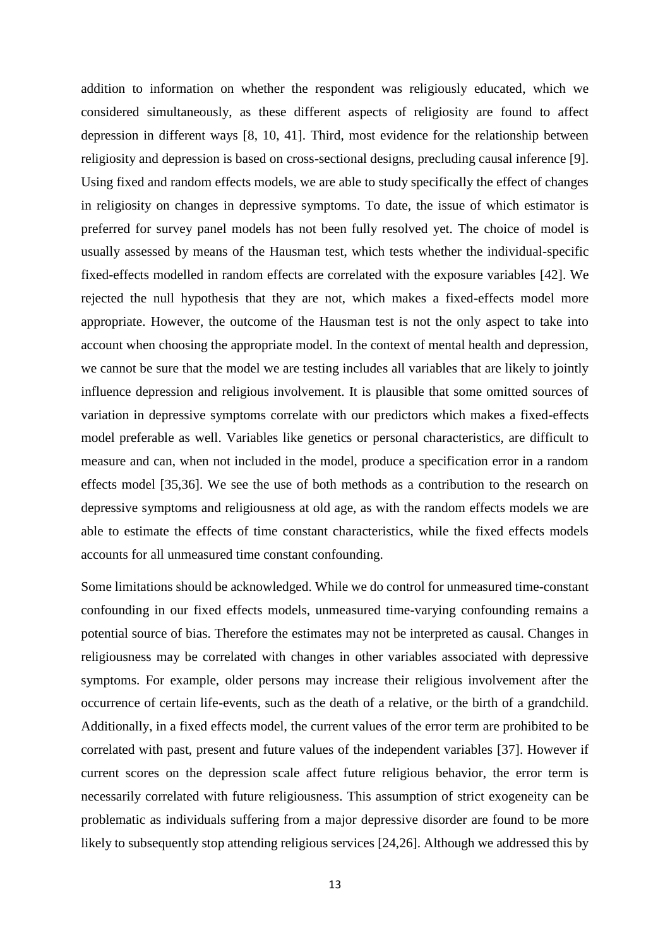addition to information on whether the respondent was religiously educated, which we considered simultaneously, as these different aspects of religiosity are found to affect depression in different ways [8, 10, 41]. Third, most evidence for the relationship between religiosity and depression is based on cross-sectional designs, precluding causal inference [9]. Using fixed and random effects models, we are able to study specifically the effect of changes in religiosity on changes in depressive symptoms. To date, the issue of which estimator is preferred for survey panel models has not been fully resolved yet. The choice of model is usually assessed by means of the Hausman test, which tests whether the individual-specific fixed-effects modelled in random effects are correlated with the exposure variables [42]. We rejected the null hypothesis that they are not, which makes a fixed-effects model more appropriate. However, the outcome of the Hausman test is not the only aspect to take into account when choosing the appropriate model. In the context of mental health and depression, we cannot be sure that the model we are testing includes all variables that are likely to jointly influence depression and religious involvement. It is plausible that some omitted sources of variation in depressive symptoms correlate with our predictors which makes a fixed-effects model preferable as well. Variables like genetics or personal characteristics, are difficult to measure and can, when not included in the model, produce a specification error in a random effects model [35,36]. We see the use of both methods as a contribution to the research on depressive symptoms and religiousness at old age, as with the random effects models we are able to estimate the effects of time constant characteristics, while the fixed effects models accounts for all unmeasured time constant confounding.

Some limitations should be acknowledged. While we do control for unmeasured time-constant confounding in our fixed effects models, unmeasured time-varying confounding remains a potential source of bias. Therefore the estimates may not be interpreted as causal. Changes in religiousness may be correlated with changes in other variables associated with depressive symptoms. For example, older persons may increase their religious involvement after the occurrence of certain life-events, such as the death of a relative, or the birth of a grandchild. Additionally, in a fixed effects model, the current values of the error term are prohibited to be correlated with past, present and future values of the independent variables [37]. However if current scores on the depression scale affect future religious behavior, the error term is necessarily correlated with future religiousness. This assumption of strict exogeneity can be problematic as individuals suffering from a major depressive disorder are found to be more likely to subsequently stop attending religious services [24,26]. Although we addressed this by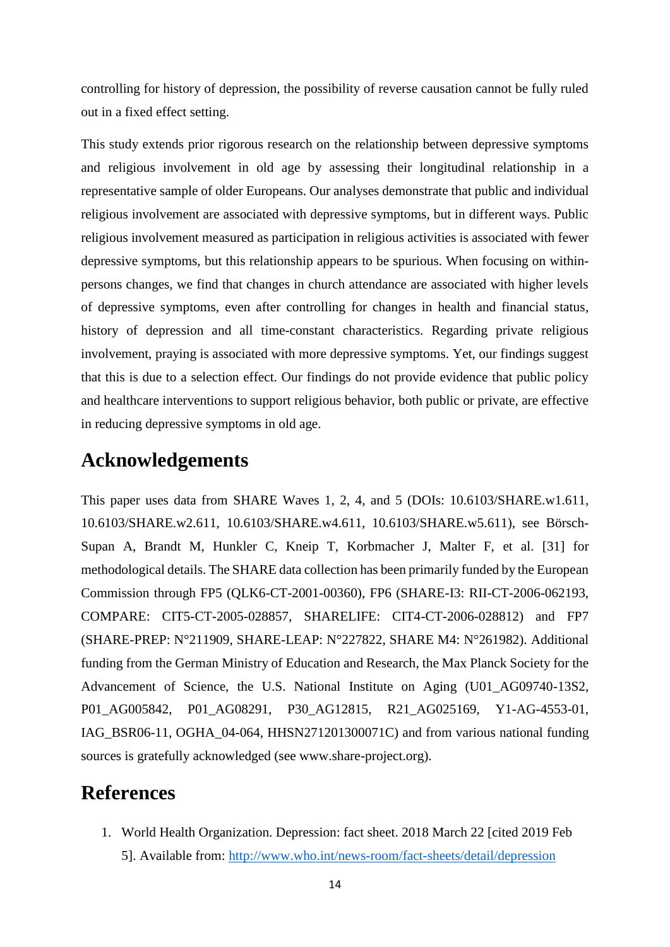controlling for history of depression, the possibility of reverse causation cannot be fully ruled out in a fixed effect setting.

This study extends prior rigorous research on the relationship between depressive symptoms and religious involvement in old age by assessing their longitudinal relationship in a representative sample of older Europeans. Our analyses demonstrate that public and individual religious involvement are associated with depressive symptoms, but in different ways. Public religious involvement measured as participation in religious activities is associated with fewer depressive symptoms, but this relationship appears to be spurious. When focusing on withinpersons changes, we find that changes in church attendance are associated with higher levels of depressive symptoms, even after controlling for changes in health and financial status, history of depression and all time-constant characteristics. Regarding private religious involvement, praying is associated with more depressive symptoms. Yet, our findings suggest that this is due to a selection effect. Our findings do not provide evidence that public policy and healthcare interventions to support religious behavior, both public or private, are effective in reducing depressive symptoms in old age.

# **Acknowledgements**

This paper uses data from SHARE Waves 1, 2, 4, and 5 (DOIs: 10.6103/SHARE.w1.611, 10.6103/SHARE.w2.611, 10.6103/SHARE.w4.611, 10.6103/SHARE.w5.611), see Börsch-Supan A, Brandt M, Hunkler C, Kneip T, Korbmacher J, Malter F, et al. [31] for methodological details. The SHARE data collection has been primarily funded by the European Commission through FP5 (QLK6-CT-2001-00360), FP6 (SHARE-I3: RII-CT-2006-062193, COMPARE: CIT5-CT-2005-028857, SHARELIFE: CIT4-CT-2006-028812) and FP7 (SHARE-PREP: N°211909, SHARE-LEAP: N°227822, SHARE M4: N°261982). Additional funding from the German Ministry of Education and Research, the Max Planck Society for the Advancement of Science, the U.S. National Institute on Aging (U01\_AG09740-13S2, P01\_AG005842, P01\_AG08291, P30\_AG12815, R21\_AG025169, Y1-AG-4553-01, IAG\_BSR06-11, OGHA\_04-064, HHSN271201300071C) and from various national funding sources is gratefully acknowledged (see www.share-project.org).

## **References**

1. World Health Organization. Depression: fact sheet. 2018 March 22 [cited 2019 Feb 5]. Available from:<http://www.who.int/news-room/fact-sheets/detail/depression>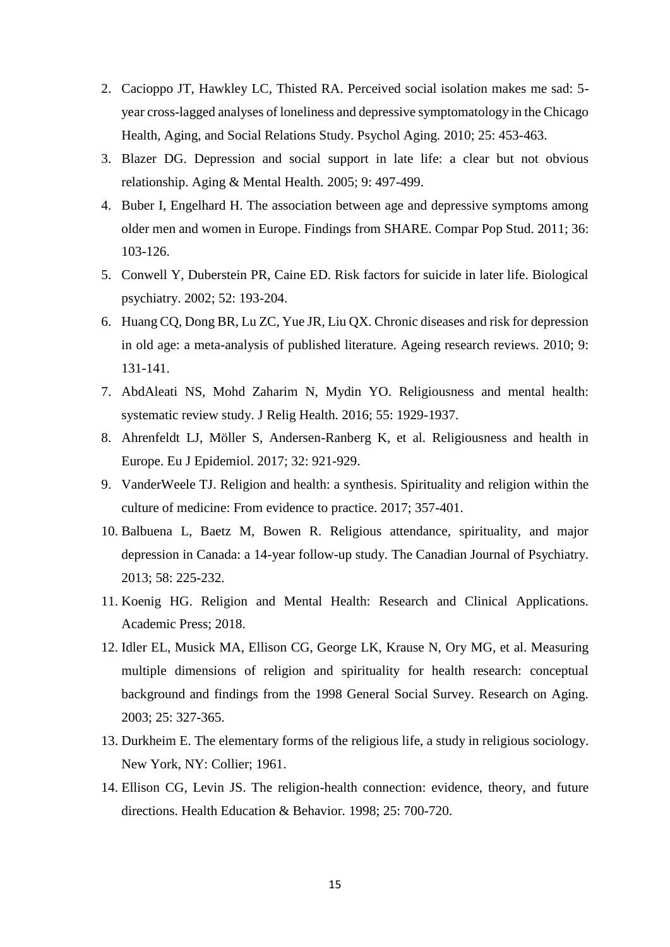- 2. Cacioppo JT, Hawkley LC, Thisted RA. Perceived social isolation makes me sad: 5 year cross-lagged analyses of loneliness and depressive symptomatology in the Chicago Health, Aging, and Social Relations Study. Psychol Aging*.* 2010; 25: 453-463.
- 3. Blazer DG. Depression and social support in late life: a clear but not obvious relationship. Aging & Mental Health*.* 2005; 9: 497-499.
- 4. Buber I, Engelhard H. The association between age and depressive symptoms among older men and women in Europe. Findings from SHARE. Compar Pop Stud. 2011; 36: 103-126.
- 5. Conwell Y, Duberstein PR, Caine ED. Risk factors for suicide in later life. Biological psychiatry. 2002; 52: 193-204.
- 6. Huang CQ, Dong BR, Lu ZC, Yue JR, Liu QX. Chronic diseases and risk for depression in old age: a meta-analysis of published literature. Ageing research reviews. 2010; 9: 131-141.
- 7. AbdAleati NS, Mohd Zaharim N, Mydin YO. Religiousness and mental health: systematic review study. J Relig Health. 2016; 55: 1929-1937.
- 8. Ahrenfeldt LJ, Möller S, Andersen-Ranberg K, et al. Religiousness and health in Europe. Eu J Epidemiol. 2017; 32: 921-929.
- 9. VanderWeele TJ. Religion and health: a synthesis. Spirituality and religion within the culture of medicine: From evidence to practice. 2017; 357-401.
- 10. Balbuena L, Baetz M, Bowen R. Religious attendance, spirituality, and major depression in Canada: a 14-year follow-up study. The Canadian Journal of Psychiatry. 2013; 58: 225-232.
- 11. Koenig HG. Religion and Mental Health: Research and Clinical Applications. Academic Press; 2018.
- 12. Idler EL, Musick MA, Ellison CG, George LK, Krause N, Ory MG, et al. Measuring multiple dimensions of religion and spirituality for health research: conceptual background and findings from the 1998 General Social Survey. Research on Aging. 2003; 25: 327-365.
- 13. Durkheim E. The elementary forms of the religious life, a study in religious sociology. New York, NY: Collier; 1961.
- 14. Ellison CG, Levin JS. The religion-health connection: evidence, theory, and future directions. Health Education & Behavior*.* 1998; 25: 700-720.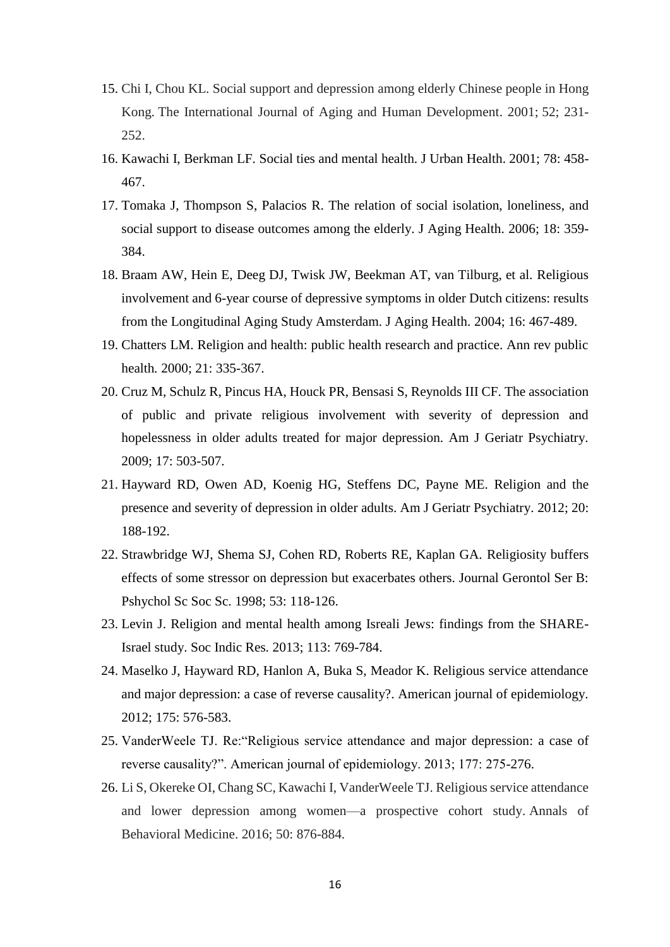- 15. Chi I, Chou KL. Social support and depression among elderly Chinese people in Hong Kong. The International Journal of Aging and Human Development. 2001; 52; 231- 252.
- 16. Kawachi I, Berkman LF. Social ties and mental health. J Urban Health. 2001; 78: 458- 467.
- 17. Tomaka J, Thompson S, Palacios R. The relation of social isolation, loneliness, and social support to disease outcomes among the elderly. J Aging Health. 2006; 18: 359- 384.
- 18. Braam AW, Hein E, Deeg DJ, Twisk JW, Beekman AT, van Tilburg, et al. Religious involvement and 6-year course of depressive symptoms in older Dutch citizens: results from the Longitudinal Aging Study Amsterdam. J Aging Health*.* 2004; 16: 467-489.
- 19. Chatters LM. Religion and health: public health research and practice. Ann rev public health*.* 2000; 21: 335-367.
- 20. Cruz M, Schulz R, Pincus HA, Houck PR, Bensasi S, Reynolds III CF. The association of public and private religious involvement with severity of depression and hopelessness in older adults treated for major depression. Am J Geriatr Psychiatry. 2009; 17: 503-507.
- 21. Hayward RD, Owen AD, Koenig HG, Steffens DC, Payne ME. Religion and the presence and severity of depression in older adults. Am J Geriatr Psychiatry*.* 2012; 20: 188-192.
- 22. Strawbridge WJ, Shema SJ, Cohen RD, Roberts RE, Kaplan GA. Religiosity buffers effects of some stressor on depression but exacerbates others. Journal Gerontol Ser B: Pshychol Sc Soc Sc. 1998; 53: 118-126.
- 23. Levin J. Religion and mental health among Isreali Jews: findings from the SHARE-Israel study. Soc Indic Res*.* 2013; 113: 769-784.
- 24. Maselko J, Hayward RD, Hanlon A, Buka S, Meador K. Religious service attendance and major depression: a case of reverse causality?. American journal of epidemiology. 2012; 175: 576-583.
- 25. VanderWeele TJ. Re:"Religious service attendance and major depression: a case of reverse causality?". American journal of epidemiology. 2013; 177: 275-276.
- 26. Li S, Okereke OI, Chang SC, Kawachi I, VanderWeele TJ. Religious service attendance and lower depression among women—a prospective cohort study. Annals of Behavioral Medicine. 2016; 50: 876-884.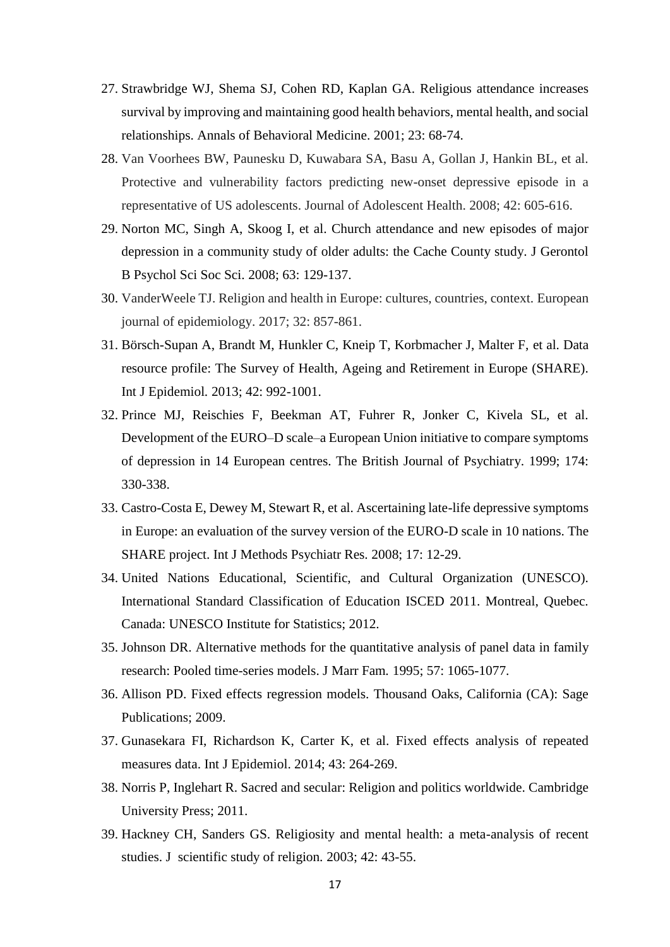- 27. Strawbridge WJ, Shema SJ, Cohen RD, Kaplan GA. Religious attendance increases survival by improving and maintaining good health behaviors, mental health, and social relationships. Annals of Behavioral Medicine. 2001; 23: 68-74.
- 28. Van Voorhees BW, Paunesku D, Kuwabara SA, Basu A, Gollan J, Hankin BL, et al. Protective and vulnerability factors predicting new-onset depressive episode in a representative of US adolescents. Journal of Adolescent Health. 2008; 42: 605-616.
- 29. Norton MC, Singh A, Skoog I, et al. Church attendance and new episodes of major depression in a community study of older adults: the Cache County study. J Gerontol B Psychol Sci Soc Sci. 2008; 63: 129-137.
- 30. VanderWeele TJ. Religion and health in Europe: cultures, countries, context. European journal of epidemiology. 2017; 32: 857-861.
- 31. Börsch-Supan A, Brandt M, Hunkler C, Kneip T, Korbmacher J, Malter F, et al. Data resource profile: The Survey of Health, Ageing and Retirement in Europe (SHARE). Int J Epidemiol*.* 2013; 42: 992-1001.
- 32. Prince MJ, Reischies F, Beekman AT, Fuhrer R, Jonker C, Kivela SL, et al. Development of the EURO–D scale–a European Union initiative to compare symptoms of depression in 14 European centres. The British Journal of Psychiatry. 1999; 174: 330-338.
- 33. Castro-Costa E, Dewey M, Stewart R, et al. Ascertaining late-life depressive symptoms in Europe: an evaluation of the survey version of the EURO-D scale in 10 nations. The SHARE project. Int J Methods Psychiatr Res*.* 2008; 17: 12-29.
- 34. United Nations Educational, Scientific, and Cultural Organization (UNESCO). International Standard Classification of Education ISCED 2011. Montreal, Quebec. Canada: UNESCO Institute for Statistics; 2012.
- 35. Johnson DR. Alternative methods for the quantitative analysis of panel data in family research: Pooled time-series models. J Marr Fam*.* 1995; 57: 1065-1077.
- 36. Allison PD. Fixed effects regression models. Thousand Oaks, California (CA): Sage Publications; 2009.
- 37. Gunasekara FI, Richardson K, Carter K, et al. Fixed effects analysis of repeated measures data. Int J Epidemiol. 2014; 43: 264-269.
- 38. Norris P, Inglehart R. Sacred and secular: Religion and politics worldwide. Cambridge University Press; 2011.
- 39. Hackney CH, Sanders GS. Religiosity and mental health: a meta-analysis of recent studies. J scientific study of religion*.* 2003; 42: 43-55.